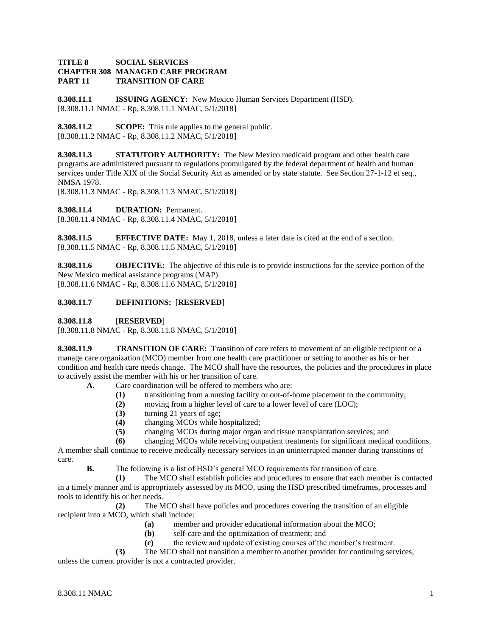## **TITLE 8 SOCIAL SERVICES CHAPTER 308 MANAGED CARE PROGRAM PART 11 TRANSITION OF CARE**

**8.308.11.1 ISSUING AGENCY:** New Mexico Human Services Department (HSD). [8.308.11.1 NMAC - Rp, 8.308.11.1 NMAC, 5/1/2018]

**8.308.11.2 SCOPE:** This rule applies to the general public. [8.308.11.2 NMAC - Rp, 8.308.11.2 NMAC, 5/1/2018]

**8.308.11.3 STATUTORY AUTHORITY:** The New Mexico medicaid program and other health care programs are administered pursuant to regulations promulgated by the federal department of health and human services under Title XIX of the Social Security Act as amended or by state statute. See Section 27-1-12 et seq., NMSA 1978.

[8.308.11.3 NMAC - Rp, 8.308.11.3 NMAC, 5/1/2018]

**8.308.11.4 DURATION:** Permanent.

[8.308.11.4 NMAC - Rp, 8.308.11.4 NMAC, 5/1/2018]

**8.308.11.5 EFFECTIVE DATE:** May 1, 2018, unless a later date is cited at the end of a section. [8.308.11.5 NMAC - Rp, 8.308.11.5 NMAC, 5/1/2018]

**8.308.11.6 OBJECTIVE:** The objective of this rule is to provide instructions for the service portion of the New Mexico medical assistance programs (MAP). [8.308.11.6 NMAC - Rp, 8.308.11.6 NMAC, 5/1/2018]

## **8.308.11.7 DEFINITIONS:** [**RESERVED**]

**8.308.11.8** [**RESERVED**]

[8.308.11.8 NMAC - Rp, 8.308.11.8 NMAC, 5/1/2018]

**8.308.11.9 TRANSITION OF CARE:** Transition of care refers to movement of an eligible recipient or a manage care organization (MCO) member from one health care practitioner or setting to another as his or her condition and health care needs change. The MCO shall have the resources, the policies and the procedures in place to actively assist the member with his or her transition of care.

**A.** Care coordination will be offered to members who are:

- **(1)** transitioning from a nursing facility or out-of-home placement to the community;
- **(2)** moving from a higher level of care to a lower level of care (LOC);
- **(3)** turning 21 years of age;
- **(4)** changing MCOs while hospitalized;
- **(5)** changing MCOs during major organ and tissue transplantation services; and

**(6)** changing MCOs while receiving outpatient treatments for significant medical conditions.

A member shall continue to receive medically necessary services in an uninterrupted manner during transitions of care.

**B.** The following is a list of HSD's general MCO requirements for transition of care.

**(1)** The MCO shall establish policies and procedures to ensure that each member is contacted in a timely manner and is appropriately assessed by its MCO, using the HSD prescribed timeframes, processes and tools to identify his or her needs.

**(2)** The MCO shall have policies and procedures covering the transition of an eligible recipient into a MCO, which shall include:

- **(a)** member and provider educational information about the MCO;
- **(b)** self-care and the optimization of treatment; and
- **(c)** the review and update of existing courses of the member's treatment.

**(3)** The MCO shall not transition a member to another provider for continuing services, unless the current provider is not a contracted provider.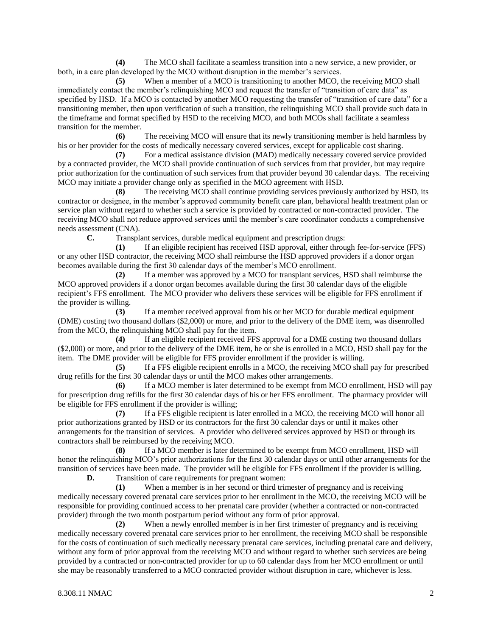**(4)** The MCO shall facilitate a seamless transition into a new service, a new provider, or both, in a care plan developed by the MCO without disruption in the member's services.

**(5)** When a member of a MCO is transitioning to another MCO, the receiving MCO shall immediately contact the member's relinquishing MCO and request the transfer of "transition of care data" as specified by HSD. If a MCO is contacted by another MCO requesting the transfer of "transition of care data" for a transitioning member, then upon verification of such a transition, the relinquishing MCO shall provide such data in the timeframe and format specified by HSD to the receiving MCO, and both MCOs shall facilitate a seamless transition for the member.

**(6)** The receiving MCO will ensure that its newly transitioning member is held harmless by his or her provider for the costs of medically necessary covered services, except for applicable cost sharing.

**(7)** For a medical assistance division (MAD) medically necessary covered service provided by a contracted provider, the MCO shall provide continuation of such services from that provider, but may require prior authorization for the continuation of such services from that provider beyond 30 calendar days. The receiving MCO may initiate a provider change only as specified in the MCO agreement with HSD.

**(8)** The receiving MCO shall continue providing services previously authorized by HSD, its contractor or designee, in the member's approved community benefit care plan, behavioral health treatment plan or service plan without regard to whether such a service is provided by contracted or non-contracted provider. The receiving MCO shall not reduce approved services until the member's care coordinator conducts a comprehensive needs assessment (CNA).

**C.** Transplant services, durable medical equipment and prescription drugs:

**(1)** If an eligible recipient has received HSD approval, either through fee-for-service (FFS) or any other HSD contractor, the receiving MCO shall reimburse the HSD approved providers if a donor organ becomes available during the first 30 calendar days of the member's MCO enrollment.

**(2)** If a member was approved by a MCO for transplant services, HSD shall reimburse the MCO approved providers if a donor organ becomes available during the first 30 calendar days of the eligible recipient's FFS enrollment. The MCO provider who delivers these services will be eligible for FFS enrollment if the provider is willing.

**(3)** If a member received approval from his or her MCO for durable medical equipment (DME) costing two thousand dollars (\$2,000) or more, and prior to the delivery of the DME item, was disenrolled from the MCO, the relinquishing MCO shall pay for the item.

**(4)** If an eligible recipient received FFS approval for a DME costing two thousand dollars (\$2,000) or more, and prior to the delivery of the DME item, he or she is enrolled in a MCO, HSD shall pay for the item. The DME provider will be eligible for FFS provider enrollment if the provider is willing.

**(5)** If a FFS eligible recipient enrolls in a MCO, the receiving MCO shall pay for prescribed drug refills for the first 30 calendar days or until the MCO makes other arrangements.

**(6)** If a MCO member is later determined to be exempt from MCO enrollment, HSD will pay for prescription drug refills for the first 30 calendar days of his or her FFS enrollment. The pharmacy provider will be eligible for FFS enrollment if the provider is willing;

**(7)** If a FFS eligible recipient is later enrolled in a MCO, the receiving MCO will honor all prior authorizations granted by HSD or its contractors for the first 30 calendar days or until it makes other arrangements for the transition of services. A provider who delivered services approved by HSD or through its contractors shall be reimbursed by the receiving MCO.

**(8)** If a MCO member is later determined to be exempt from MCO enrollment, HSD will honor the relinquishing MCO's prior authorizations for the first 30 calendar days or until other arrangements for the transition of services have been made. The provider will be eligible for FFS enrollment if the provider is willing.

**D.** Transition of care requirements for pregnant women:

**(1)** When a member is in her second or third trimester of pregnancy and is receiving medically necessary covered prenatal care services prior to her enrollment in the MCO, the receiving MCO will be responsible for providing continued access to her prenatal care provider (whether a contracted or non-contracted provider) through the two month postpartum period without any form of prior approval.

**(2)** When a newly enrolled member is in her first trimester of pregnancy and is receiving medically necessary covered prenatal care services prior to her enrollment, the receiving MCO shall be responsible for the costs of continuation of such medically necessary prenatal care services, including prenatal care and delivery, without any form of prior approval from the receiving MCO and without regard to whether such services are being provided by a contracted or non-contracted provider for up to 60 calendar days from her MCO enrollment or until she may be reasonably transferred to a MCO contracted provider without disruption in care, whichever is less.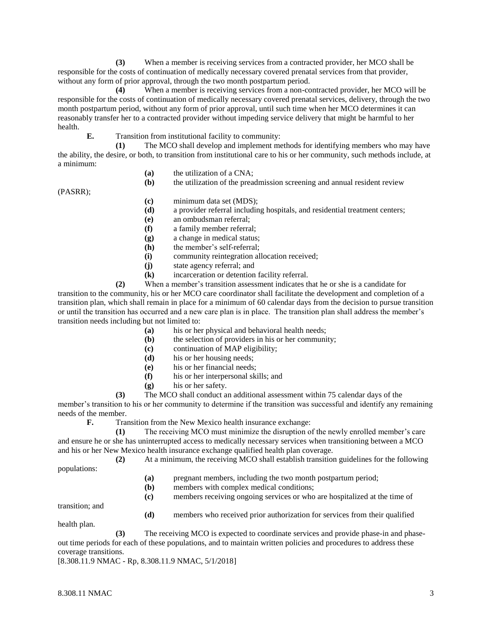**(3)** When a member is receiving services from a contracted provider, her MCO shall be responsible for the costs of continuation of medically necessary covered prenatal services from that provider, without any form of prior approval, through the two month postpartum period.

**(4)** When a member is receiving services from a non-contracted provider, her MCO will be responsible for the costs of continuation of medically necessary covered prenatal services, delivery, through the two month postpartum period, without any form of prior approval, until such time when her MCO determines it can reasonably transfer her to a contracted provider without impeding service delivery that might be harmful to her health.

**E.** Transition from institutional facility to community:

**(1)** The MCO shall develop and implement methods for identifying members who may have the ability, the desire, or both, to transition from institutional care to his or her community, such methods include, at a minimum:

- **(a)** the utilization of a CNA;
- **(b)** the utilization of the preadmission screening and annual resident review

(PASRR);

- **(c)** minimum data set (MDS);
- **(d)** a provider referral including hospitals, and residential treatment centers;
- **(e)** an ombudsman referral;
- **(f)** a family member referral;
- **(g)** a change in medical status;
- **(h)** the member's self-referral;
- **(i)** community reintegration allocation received;
- **(j)** state agency referral; and
- **(k)** incarceration or detention facility referral.

**(2)** When a member's transition assessment indicates that he or she is a candidate for transition to the community, his or her MCO care coordinator shall facilitate the development and completion of a transition plan, which shall remain in place for a minimum of 60 calendar days from the decision to pursue transition or until the transition has occurred and a new care plan is in place. The transition plan shall address the member's transition needs including but not limited to:

- **(a)** his or her physical and behavioral health needs;
- **(b)** the selection of providers in his or her community;
- **(c)** continuation of MAP eligibility;
- **(d)** his or her housing needs;
- **(e)** his or her financial needs;
- **(f)** his or her interpersonal skills; and
- **(g)** his or her safety.

**(3)** The MCO shall conduct an additional assessment within 75 calendar days of the member's transition to his or her community to determine if the transition was successful and identify any remaining needs of the member.

**F.** Transition from the New Mexico health insurance exchange:

**(1)** The receiving MCO must minimize the disruption of the newly enrolled member's care and ensure he or she has uninterrupted access to medically necessary services when transitioning between a MCO and his or her New Mexico health insurance exchange qualified health plan coverage.

**(2)** At a minimum, the receiving MCO shall establish transition guidelines for the following populations:

- **(a)** pregnant members, including the two month postpartum period;
- **(b)** members with complex medical conditions;
- **(c)** members receiving ongoing services or who are hospitalized at the time of

transition; and

**(d)** members who received prior authorization for services from their qualified

health plan.

**(3)** The receiving MCO is expected to coordinate services and provide phase-in and phaseout time periods for each of these populations, and to maintain written policies and procedures to address these coverage transitions.

[8.308.11.9 NMAC - Rp, 8.308.11.9 NMAC, 5/1/2018]